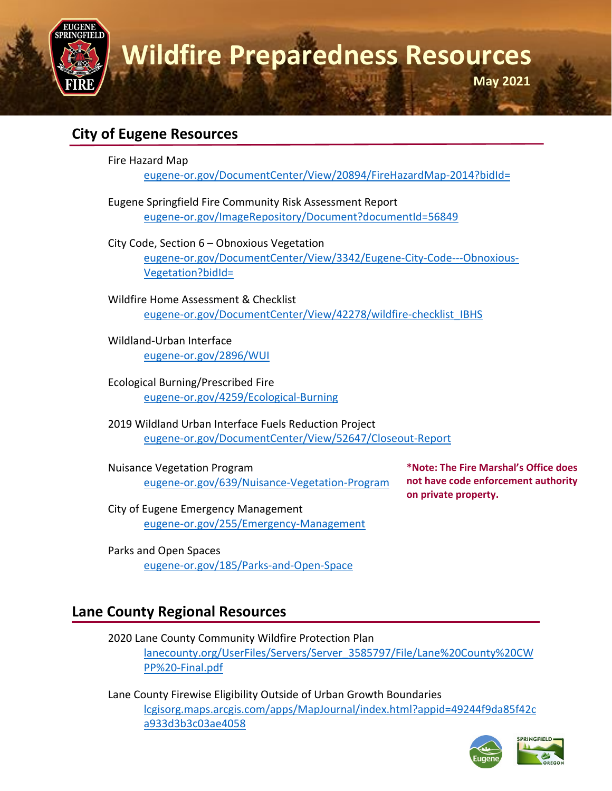

### **City of Eugene Resources**

Fire Hazard Map

[eugene-or.gov/DocumentCenter/View/20894/FireHazardMap-2014?bidId=](http://www.eugene-or.gov/DocumentCenter/View/20894/FireHazardMap-2014?bidId=)

Eugene Springfield Fire Community Risk Assessment Report [eugene-or.gov/ImageRepository/Document?documentId=56849](http://www.eugene-or.gov/ImageRepository/Document?documentId=56849) 

City Code, Section 6 – Obnoxious Vegetation [eugene-or.gov/DocumentCenter/View/3342/Eugene-City-Code---Obnoxious-](http://www.eugene-or.gov/DocumentCenter/View/3342/Eugene-City-Code---Obnoxious-Vegetation?bidId=)[Vegetation?bidId=](http://www.eugene-or.gov/DocumentCenter/View/3342/Eugene-City-Code---Obnoxious-Vegetation?bidId=)

Wildfire Home Assessment & Checklist [eugene-or.gov/DocumentCenter/View/42278/wildfire-checklist\\_IBHS](https://www.eugene-or.gov/DocumentCenter/View/42278/wildfire-checklist_IBHS)

Wildland-Urban Interface [eugene-or.gov/2896/WUI](https://www.eugene-or.gov/2896/WUI)

Ecological Burning/Prescribed Fire [eugene-or.gov/4259/Ecological-Burning](https://www.eugene-or.gov/4259/Ecological-Burning)

2019 Wildland Urban Interface Fuels Reduction Project [eugene-or.gov/DocumentCenter/View/52647/Closeout-Report](https://www.eugene-or.gov/DocumentCenter/View/52647/Closeout-Report)

Nuisance Vegetation Program [eugene-or.gov/639/Nuisance-Vegetation-Program](http://www.eugene-or.gov/639/Nuisance-Vegetation-Program) **\*Note: The Fire Marshal's Office does not have code enforcement authority on private property.** 

City of Eugene Emergency Management [eugene-or.gov/255/Emergency-Management](https://www.eugene-or.gov/255/Emergency-Management)

Parks and Open Spaces [eugene-or.gov/185/Parks-and-Open-Space](https://www.eugene-or.gov/185/Parks-and-Open-Space)

# **Lane County Regional Resources**

2020 Lane County Community Wildfire Protection Plan [lanecounty.org/UserFiles/Servers/Server\\_3585797/File/Lane%20County%20CW](https://www.lanecounty.org/UserFiles/Servers/Server_3585797/File/Lane%20County%20CWPP%20-Final.pdf) [PP%20-Final.pdf](https://www.lanecounty.org/UserFiles/Servers/Server_3585797/File/Lane%20County%20CWPP%20-Final.pdf)

Lane County Firewise Eligibility Outside of Urban Growth Boundaries [lcgisorg.maps.arcgis.com/apps/MapJournal/index.html?appid=49244f9da85f42c](https://lcgisorg.maps.arcgis.com/apps/MapJournal/index.html?appid=49244f9da85f42ca933d3b3c03ae4058) [a933d3b3c03ae4058](https://lcgisorg.maps.arcgis.com/apps/MapJournal/index.html?appid=49244f9da85f42ca933d3b3c03ae4058)

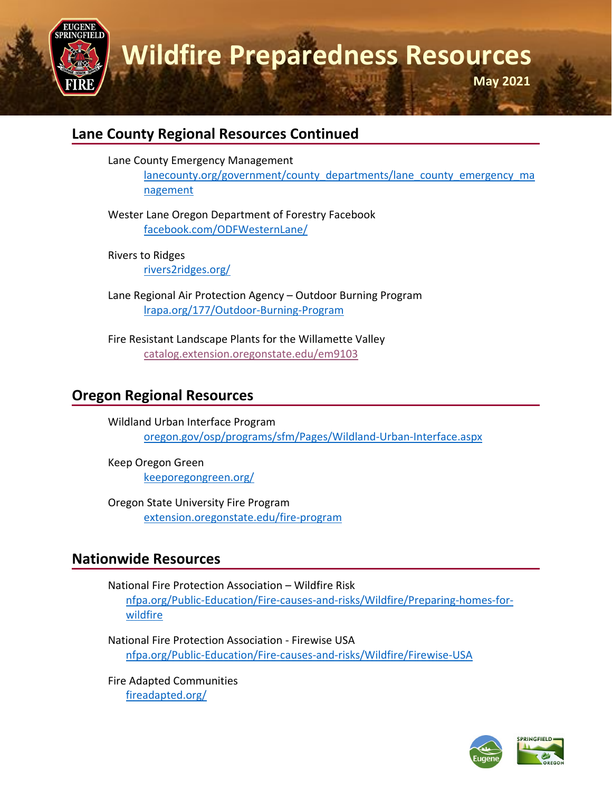

### **Lane County Regional Resources Continued**

Lane County Emergency Management

[lanecounty.org/government/county\\_departments/lane\\_county\\_emergency\\_ma](https://lanecounty.org/government/county_departments/lane_county_emergency_management) [nagement](https://lanecounty.org/government/county_departments/lane_county_emergency_management)

Wester Lane Oregon Department of Forestry Facebook [facebook.com/ODFWesternLane/](https://www.facebook.com/ODFWesternLane/)

Rivers to Ridges [rivers2ridges.org/](https://rivers2ridges.org/)

Lane Regional Air Protection Agency – Outdoor Burning Program [lrapa.org/177/Outdoor-Burning-Program](https://www.lrapa.org/177/Outdoor-Burning-Program)

Fire Resistant Landscape Plants for the Willamette Valley [catalog.extension.oregonstate.edu/em9103](https://catalog.extension.oregonstate.edu/em9103)

# **Oregon Regional Resources**

Wildland Urban Interface Program [oregon.gov/osp/programs/sfm/Pages/Wildland-Urban-Interface.aspx](https://www.oregon.gov/osp/programs/sfm/Pages/Wildland-Urban-Interface.aspx)

Keep Oregon Green [keeporegongreen.org/](https://keeporegongreen.org/)

Oregon State University Fire Program [extension.oregonstate.edu/fire-program](https://extension.oregonstate.edu/fire-program)

## **Nationwide Resources**

National Fire Protection Association – Wildfire Risk [nfpa.org/Public-Education/Fire-causes-and-risks/Wildfire/Preparing-homes-for](https://www.nfpa.org/Public-Education/Fire-causes-and-risks/Wildfire/Preparing-homes-for-wildfire)[wildfire](https://www.nfpa.org/Public-Education/Fire-causes-and-risks/Wildfire/Preparing-homes-for-wildfire)

National Fire Protection Association - Firewise USA [nfpa.org/Public-Education/Fire-causes-and-risks/Wildfire/Firewise-USA](https://www.nfpa.org/Public-Education/Fire-causes-and-risks/Wildfire/Firewise-USA)

Fire Adapted Communities [fireadapted.org/](https://fireadapted.org/)